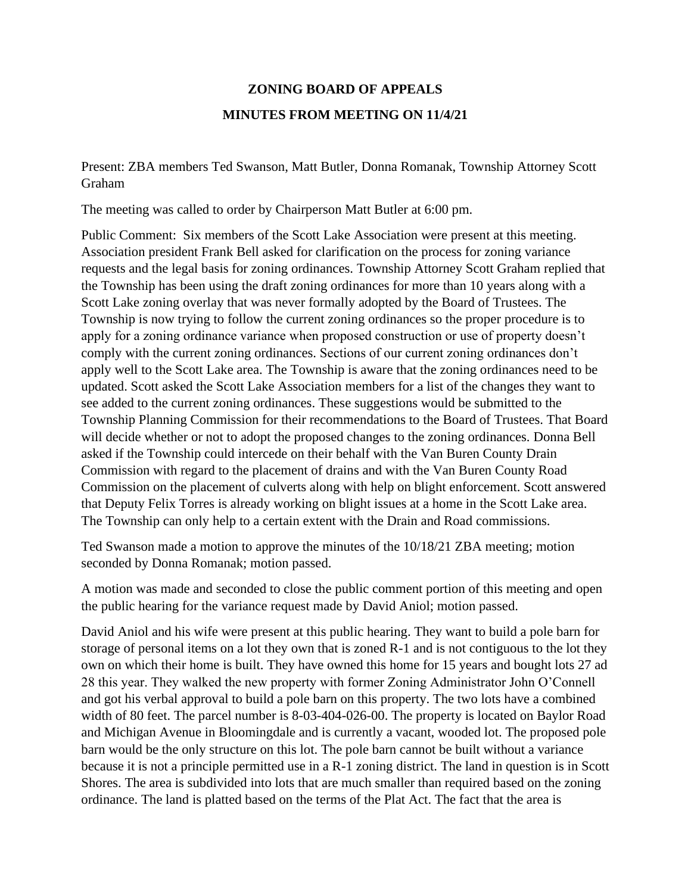## **ZONING BOARD OF APPEALS MINUTES FROM MEETING ON 11/4/21**

Present: ZBA members Ted Swanson, Matt Butler, Donna Romanak, Township Attorney Scott Graham

The meeting was called to order by Chairperson Matt Butler at 6:00 pm.

Public Comment: Six members of the Scott Lake Association were present at this meeting. Association president Frank Bell asked for clarification on the process for zoning variance requests and the legal basis for zoning ordinances. Township Attorney Scott Graham replied that the Township has been using the draft zoning ordinances for more than 10 years along with a Scott Lake zoning overlay that was never formally adopted by the Board of Trustees. The Township is now trying to follow the current zoning ordinances so the proper procedure is to apply for a zoning ordinance variance when proposed construction or use of property doesn't comply with the current zoning ordinances. Sections of our current zoning ordinances don't apply well to the Scott Lake area. The Township is aware that the zoning ordinances need to be updated. Scott asked the Scott Lake Association members for a list of the changes they want to see added to the current zoning ordinances. These suggestions would be submitted to the Township Planning Commission for their recommendations to the Board of Trustees. That Board will decide whether or not to adopt the proposed changes to the zoning ordinances. Donna Bell asked if the Township could intercede on their behalf with the Van Buren County Drain Commission with regard to the placement of drains and with the Van Buren County Road Commission on the placement of culverts along with help on blight enforcement. Scott answered that Deputy Felix Torres is already working on blight issues at a home in the Scott Lake area. The Township can only help to a certain extent with the Drain and Road commissions.

Ted Swanson made a motion to approve the minutes of the 10/18/21 ZBA meeting; motion seconded by Donna Romanak; motion passed.

A motion was made and seconded to close the public comment portion of this meeting and open the public hearing for the variance request made by David Aniol; motion passed.

David Aniol and his wife were present at this public hearing. They want to build a pole barn for storage of personal items on a lot they own that is zoned R-1 and is not contiguous to the lot they own on which their home is built. They have owned this home for 15 years and bought lots 27 ad 28 this year. They walked the new property with former Zoning Administrator John O'Connell and got his verbal approval to build a pole barn on this property. The two lots have a combined width of 80 feet. The parcel number is 8-03-404-026-00. The property is located on Baylor Road and Michigan Avenue in Bloomingdale and is currently a vacant, wooded lot. The proposed pole barn would be the only structure on this lot. The pole barn cannot be built without a variance because it is not a principle permitted use in a R-1 zoning district. The land in question is in Scott Shores. The area is subdivided into lots that are much smaller than required based on the zoning ordinance. The land is platted based on the terms of the Plat Act. The fact that the area is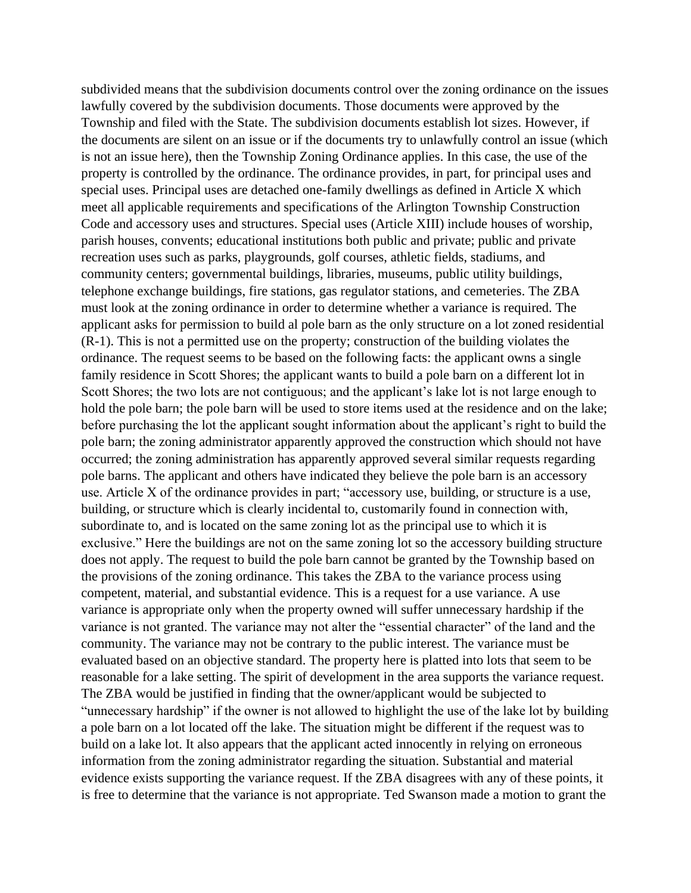subdivided means that the subdivision documents control over the zoning ordinance on the issues lawfully covered by the subdivision documents. Those documents were approved by the Township and filed with the State. The subdivision documents establish lot sizes. However, if the documents are silent on an issue or if the documents try to unlawfully control an issue (which is not an issue here), then the Township Zoning Ordinance applies. In this case, the use of the property is controlled by the ordinance. The ordinance provides, in part, for principal uses and special uses. Principal uses are detached one-family dwellings as defined in Article X which meet all applicable requirements and specifications of the Arlington Township Construction Code and accessory uses and structures. Special uses (Article XIII) include houses of worship, parish houses, convents; educational institutions both public and private; public and private recreation uses such as parks, playgrounds, golf courses, athletic fields, stadiums, and community centers; governmental buildings, libraries, museums, public utility buildings, telephone exchange buildings, fire stations, gas regulator stations, and cemeteries. The ZBA must look at the zoning ordinance in order to determine whether a variance is required. The applicant asks for permission to build al pole barn as the only structure on a lot zoned residential (R-1). This is not a permitted use on the property; construction of the building violates the ordinance. The request seems to be based on the following facts: the applicant owns a single family residence in Scott Shores; the applicant wants to build a pole barn on a different lot in Scott Shores; the two lots are not contiguous; and the applicant's lake lot is not large enough to hold the pole barn; the pole barn will be used to store items used at the residence and on the lake; before purchasing the lot the applicant sought information about the applicant's right to build the pole barn; the zoning administrator apparently approved the construction which should not have occurred; the zoning administration has apparently approved several similar requests regarding pole barns. The applicant and others have indicated they believe the pole barn is an accessory use. Article X of the ordinance provides in part; "accessory use, building, or structure is a use, building, or structure which is clearly incidental to, customarily found in connection with, subordinate to, and is located on the same zoning lot as the principal use to which it is exclusive." Here the buildings are not on the same zoning lot so the accessory building structure does not apply. The request to build the pole barn cannot be granted by the Township based on the provisions of the zoning ordinance. This takes the ZBA to the variance process using competent, material, and substantial evidence. This is a request for a use variance. A use variance is appropriate only when the property owned will suffer unnecessary hardship if the variance is not granted. The variance may not alter the "essential character" of the land and the community. The variance may not be contrary to the public interest. The variance must be evaluated based on an objective standard. The property here is platted into lots that seem to be reasonable for a lake setting. The spirit of development in the area supports the variance request. The ZBA would be justified in finding that the owner/applicant would be subjected to "unnecessary hardship" if the owner is not allowed to highlight the use of the lake lot by building a pole barn on a lot located off the lake. The situation might be different if the request was to build on a lake lot. It also appears that the applicant acted innocently in relying on erroneous information from the zoning administrator regarding the situation. Substantial and material evidence exists supporting the variance request. If the ZBA disagrees with any of these points, it is free to determine that the variance is not appropriate. Ted Swanson made a motion to grant the